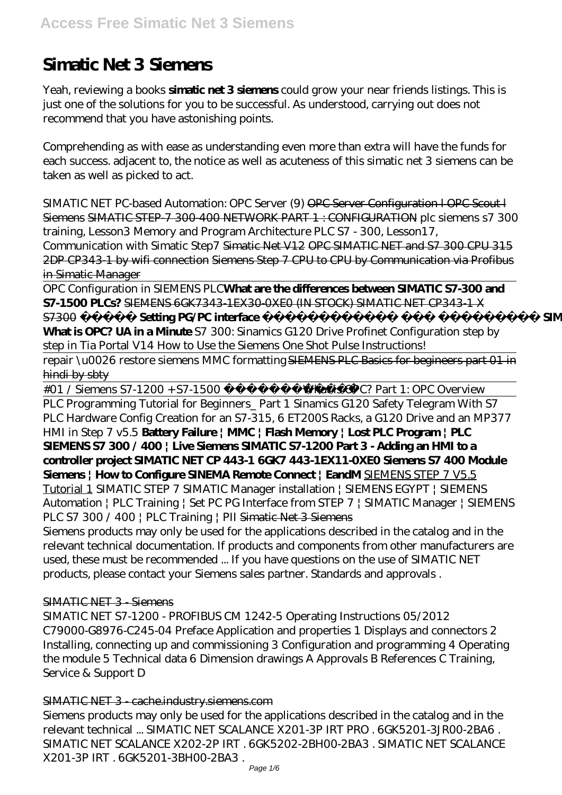# **Simatic Net 3 Siemens**

Yeah, reviewing a books **simatic net 3 siemens** could grow your near friends listings. This is just one of the solutions for you to be successful. As understood, carrying out does not recommend that you have astonishing points.

Comprehending as with ease as understanding even more than extra will have the funds for each success. adjacent to, the notice as well as acuteness of this simatic net 3 siemens can be taken as well as picked to act.

SIMATIC NET PC-based Automation: OPC Server (9) OPC Server Configuration I OPC Scout I Siemens SIMATIC STEP-7 300-400 NETWORK PART 1 : CONFIGURATION plc siemens s7 300 training, Lesson3 Memory and Program Architecture PLC S7 - 300, Lesson17, Communication with Simatic Step7 Simatic Net V12 OPC SIMATIC NET and S7 300 CPU 315 2DP CP343-1 by wifi connection Siemens Step 7 CPU to CPU by Communication via Profibus in Simatic Manager

OPC Configuration in SIEMENS PLC**What are the differences between SIMATIC S7-300 and S7-1500 PLCs?** SIEMENS 6GK7343-1EX30-0XE0 (IN STOCK) SIMATIC NET CP343-1 X S7300 **حرش Setting PG/PC interface يبرعلاب يف جمانرب SIMATIC Manager**

**What is OPC? UA in a Minute** *S7 300: Sinamics G120 Drive Profinet Configuration step by step in Tia Portal V14 How to Use the Siemens One Shot Pulse Instructions!*

repair \u0026 restore siemens MMC formatting SIEMENS PLC Basics for begineers part 01 in hindi by sbty

#01 / Siemens S7-1200 + S7-1500 يبرعلاب*What is OPC? Part 1: OPC Overview*

PLC Programming Tutorial for Beginners\_ Part 1 Sinamics G120 Safety Telegram With S7 PLC Hardware Config Creation for an S7-315, 6 ET200S Racks, a G120 Drive and an MP377 HMI in Step 7 v5.5 **Battery Failure | MMC | Flash Memory | Lost PLC Program | PLC SIEMENS S7 300 / 400 | Live Siemens SIMATIC S7-1200 Part 3 - Adding an HMI to a controller project SIMATIC NET CP 443-1 6GK7 443-1EX11-0XE0 Siemens S7 400 Module Siemens | How to Configure SINEMA Remote Connect | EandM** SIEMENS STEP 7 V5.5

Tutorial 1 *SIMATIC STEP 7 SIMATIC Manager installation | SIEMENS EGYPT | SIEMENS Automation | PLC Training | Set PC PG Interface from STEP 7 | SIMATIC Manager | SIEMENS PLC S7 300 / 400 | PLC Training | PII* Simatic Net 3 Siemens

Siemens products may only be used for the applications described in the catalog and in the relevant technical documentation. If products and components from other manufacturers are used, these must be recommended ... If you have questions on the use of SIMATIC NET products, please contact your Siemens sales partner. Standards and approvals .

# SIMATIC NET 3 - Siemens

SIMATIC NET S7-1200 - PROFIBUS CM 1242-5 Operating Instructions 05/2012 C79000-G8976-C245-04 Preface Application and properties 1 Displays and connectors 2 Installing, connecting up and commissioning 3 Configuration and programming 4 Operating the module 5 Technical data 6 Dimension drawings A Approvals B References C Training, Service & Support D

# SIMATIC NET 3 - cache.industry.siemens.com

Siemens products may only be used for the applications described in the catalog and in the relevant technical ... SIMATIC NET SCALANCE X201-3P IRT PRO . 6GK5201-3JR00-2BA6 . SIMATIC NET SCALANCE X202-2P IRT . 6GK5202-2BH00-2BA3 . SIMATIC NET SCALANCE X201-3P IRT . 6GK5201-3BH00-2BA3 .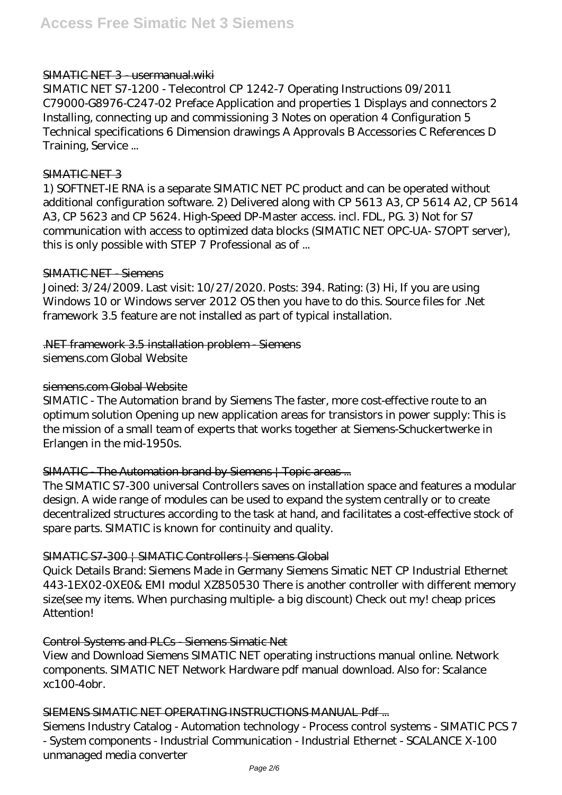#### SIMATIC NET 3 - usermanual.wiki

SIMATIC NET S7-1200 - Telecontrol CP 1242-7 Operating Instructions 09/2011 C79000-G8976-C247-02 Preface Application and properties 1 Displays and connectors 2 Installing, connecting up and commissioning 3 Notes on operation 4 Configuration 5 Technical specifications 6 Dimension drawings A Approvals B Accessories C References D Training, Service ...

#### SIMATIC NET 3

1) SOFTNET-IE RNA is a separate SIMATIC NET PC product and can be operated without additional configuration software. 2) Delivered along with CP 5613 A3, CP 5614 A2, CP 5614 A3, CP 5623 and CP 5624. High-Speed DP-Master access. incl. FDL, PG. 3) Not for S7 communication with access to optimized data blocks (SIMATIC NET OPC-UA- S7OPT server), this is only possible with STEP 7 Professional as of ...

#### SIMATIC NET - Siemens

Joined: 3/24/2009. Last visit: 10/27/2020. Posts: 394. Rating: (3) Hi, If you are using Windows 10 or Windows server 2012 OS then you have to do this. Source files for .Net framework 3.5 feature are not installed as part of typical installation.

#### .NET framework 3.5 installation problem - Siemens

siemens.com Global Website

#### siemens.com Global Website

SIMATIC - The Automation brand by Siemens The faster, more cost-effective route to an optimum solution Opening up new application areas for transistors in power supply: This is the mission of a small team of experts that works together at Siemens-Schuckertwerke in Erlangen in the mid-1950s.

# SIMATIC The Automation brand by Siemens | Topic areas ...

The SIMATIC S7-300 universal Controllers saves on installation space and features a modular design. A wide range of modules can be used to expand the system centrally or to create decentralized structures according to the task at hand, and facilitates a cost-effective stock of spare parts. SIMATIC is known for continuity and quality.

#### SIMATIC S7-300 | SIMATIC Controllers | Siemens Global

Quick Details Brand: Siemens Made in Germany Siemens Simatic NET CP Industrial Ethernet 443-1EX02-0XE0& EMI modul XZ850530 There is another controller with different memory size(see my items. When purchasing multiple- a big discount) Check out my! cheap prices Attention!

# Control Systems and PLCs - Siemens Simatic Net

View and Download Siemens SIMATIC NET operating instructions manual online. Network components. SIMATIC NET Network Hardware pdf manual download. Also for: Scalance xc100-4obr.

#### SIEMENS SIMATIC NET OPERATING INSTRUCTIONS MANUAL Pdf ...

Siemens Industry Catalog - Automation technology - Process control systems - SIMATIC PCS 7 - System components - Industrial Communication - Industrial Ethernet - SCALANCE X-100 unmanaged media converter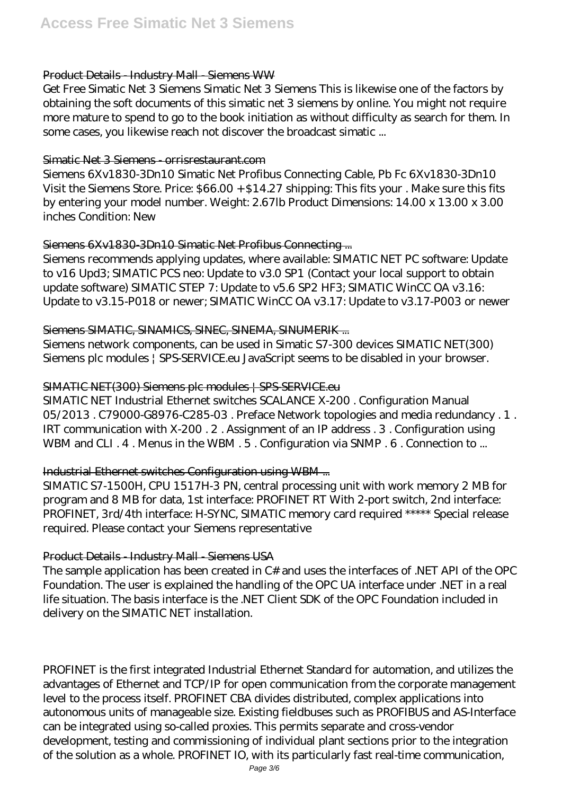# Product Details - Industry Mall - Siemens WW

Get Free Simatic Net 3 Siemens Simatic Net 3 Siemens This is likewise one of the factors by obtaining the soft documents of this simatic net 3 siemens by online. You might not require more mature to spend to go to the book initiation as without difficulty as search for them. In some cases, you likewise reach not discover the broadcast simatic ...

#### Simatic Net 3 Siemens - orrisrestaurant.com

Siemens 6Xv1830-3Dn10 Simatic Net Profibus Connecting Cable, Pb Fc 6Xv1830-3Dn10 Visit the Siemens Store. Price: \$66.00 + \$14.27 shipping: This fits your . Make sure this fits by entering your model number. Weight: 2.67lb Product Dimensions: 14.00 x 13.00 x 3.00 inches Condition: New

# Siemens 6Xv1830-3Dn10 Simatic Net Profibus Connecting ...

Siemens recommends applying updates, where available: SIMATIC NET PC software: Update to v16 Upd3; SIMATIC PCS neo: Update to v3.0 SP1 (Contact your local support to obtain update software) SIMATIC STEP 7: Update to v5.6 SP2 HF3; SIMATIC WinCC OA v3.16: Update to v3.15-P018 or newer; SIMATIC WinCC OA v3.17: Update to v3.17-P003 or newer

# Siemens SIMATIC, SINAMICS, SINEC, SINEMA, SINUMERIK ...

Siemens network components, can be used in Simatic S7-300 devices SIMATIC NET(300) Siemens plc modules | SPS-SERVICE.eu JavaScript seems to be disabled in your browser.

# SIMATIC NET(300) Siemens plc modules | SPS-SERVICE.eu

SIMATIC NET Industrial Ethernet switches SCALANCE X-200 . Configuration Manual 05/2013 . C79000-G8976-C285-03 . Preface Network topologies and media redundancy . 1 . IRT communication with X-200 . 2 . Assignment of an IP address . 3 . Configuration using WBM and CLI. 4. Menus in the WBM. 5. Configuration via SNMP. 6. Connection to ...

# Industrial Ethernet switches Configuration using WBM ...

SIMATIC S7-1500H, CPU 1517H-3 PN, central processing unit with work memory 2 MB for program and 8 MB for data, 1st interface: PROFINET RT With 2-port switch, 2nd interface: PROFINET, 3rd/4th interface: H-SYNC, SIMATIC memory card required \*\*\*\*\* Special release required. Please contact your Siemens representative

# Product Details - Industry Mall - Siemens USA

The sample application has been created in C# and uses the interfaces of .NET API of the OPC Foundation. The user is explained the handling of the OPC UA interface under .NET in a real life situation. The basis interface is the .NET Client SDK of the OPC Foundation included in delivery on the SIMATIC NET installation.

PROFINET is the first integrated Industrial Ethernet Standard for automation, and utilizes the advantages of Ethernet and TCP/IP for open communication from the corporate management level to the process itself. PROFINET CBA divides distributed, complex applications into autonomous units of manageable size. Existing fieldbuses such as PROFIBUS and AS-Interface can be integrated using so-called proxies. This permits separate and cross-vendor development, testing and commissioning of individual plant sections prior to the integration of the solution as a whole. PROFINET IO, with its particularly fast real-time communication,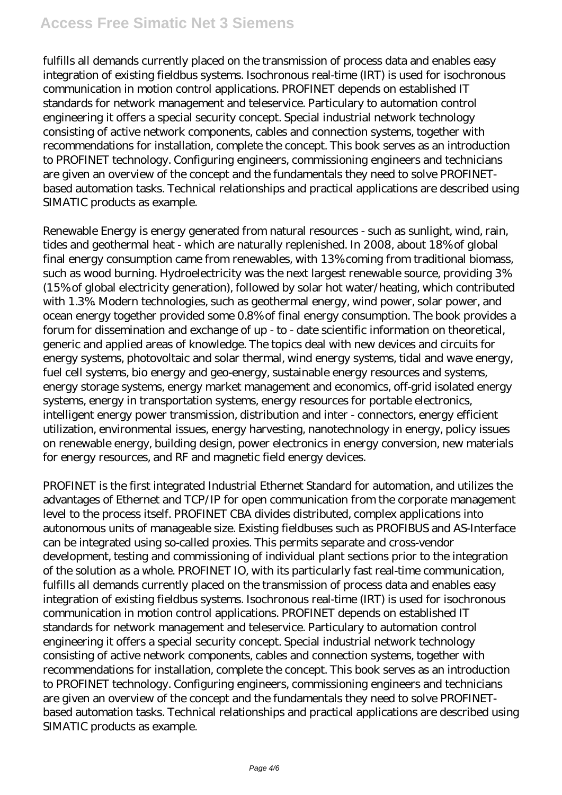# **Access Free Simatic Net 3 Siemens**

fulfills all demands currently placed on the transmission of process data and enables easy integration of existing fieldbus systems. Isochronous real-time (IRT) is used for isochronous communication in motion control applications. PROFINET depends on established IT standards for network management and teleservice. Particulary to automation control engineering it offers a special security concept. Special industrial network technology consisting of active network components, cables and connection systems, together with recommendations for installation, complete the concept. This book serves as an introduction to PROFINET technology. Configuring engineers, commissioning engineers and technicians are given an overview of the concept and the fundamentals they need to solve PROFINETbased automation tasks. Technical relationships and practical applications are described using SIMATIC products as example.

Renewable Energy is energy generated from natural resources - such as sunlight, wind, rain, tides and geothermal heat - which are naturally replenished. In 2008, about 18% of global final energy consumption came from renewables, with 13% coming from traditional biomass, such as wood burning. Hydroelectricity was the next largest renewable source, providing 3% (15% of global electricity generation), followed by solar hot water/heating, which contributed with 1.3%. Modern technologies, such as geothermal energy, wind power, solar power, and ocean energy together provided some 0.8% of final energy consumption. The book provides a forum for dissemination and exchange of up - to - date scientific information on theoretical, generic and applied areas of knowledge. The topics deal with new devices and circuits for energy systems, photovoltaic and solar thermal, wind energy systems, tidal and wave energy, fuel cell systems, bio energy and geo-energy, sustainable energy resources and systems, energy storage systems, energy market management and economics, off-grid isolated energy systems, energy in transportation systems, energy resources for portable electronics, intelligent energy power transmission, distribution and inter - connectors, energy efficient utilization, environmental issues, energy harvesting, nanotechnology in energy, policy issues on renewable energy, building design, power electronics in energy conversion, new materials for energy resources, and RF and magnetic field energy devices.

PROFINET is the first integrated Industrial Ethernet Standard for automation, and utilizes the advantages of Ethernet and TCP/IP for open communication from the corporate management level to the process itself. PROFINET CBA divides distributed, complex applications into autonomous units of manageable size. Existing fieldbuses such as PROFIBUS and AS-Interface can be integrated using so-called proxies. This permits separate and cross-vendor development, testing and commissioning of individual plant sections prior to the integration of the solution as a whole. PROFINET IO, with its particularly fast real-time communication, fulfills all demands currently placed on the transmission of process data and enables easy integration of existing fieldbus systems. Isochronous real-time (IRT) is used for isochronous communication in motion control applications. PROFINET depends on established IT standards for network management and teleservice. Particulary to automation control engineering it offers a special security concept. Special industrial network technology consisting of active network components, cables and connection systems, together with recommendations for installation, complete the concept. This book serves as an introduction to PROFINET technology. Configuring engineers, commissioning engineers and technicians are given an overview of the concept and the fundamentals they need to solve PROFINETbased automation tasks. Technical relationships and practical applications are described using SIMATIC products as example.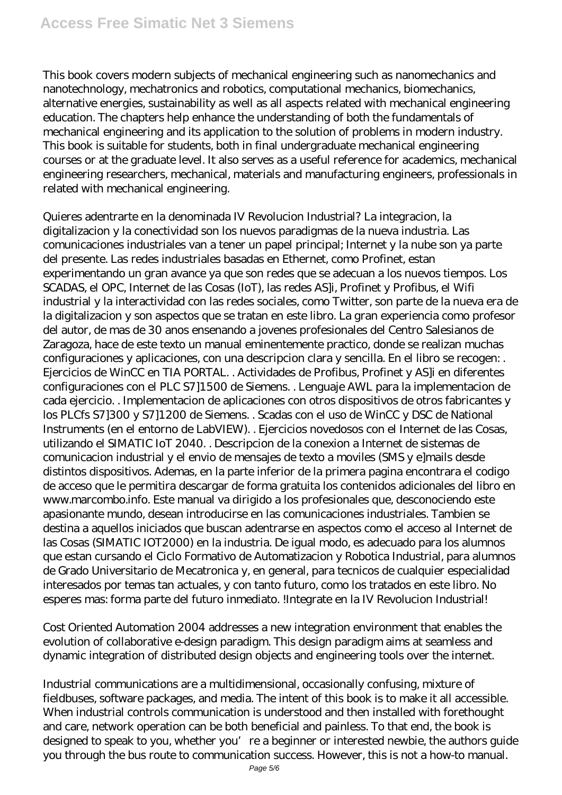This book covers modern subjects of mechanical engineering such as nanomechanics and nanotechnology, mechatronics and robotics, computational mechanics, biomechanics, alternative energies, sustainability as well as all aspects related with mechanical engineering education. The chapters help enhance the understanding of both the fundamentals of mechanical engineering and its application to the solution of problems in modern industry. This book is suitable for students, both in final undergraduate mechanical engineering courses or at the graduate level. It also serves as a useful reference for academics, mechanical engineering researchers, mechanical, materials and manufacturing engineers, professionals in related with mechanical engineering.

Quieres adentrarte en la denominada IV Revolucion Industrial? La integracion, la digitalizacion y la conectividad son los nuevos paradigmas de la nueva industria. Las comunicaciones industriales van a tener un papel principal; Internet y la nube son ya parte del presente. Las redes industriales basadas en Ethernet, como Profinet, estan experimentando un gran avance ya que son redes que se adecuan a los nuevos tiempos. Los SCADAS, el OPC, Internet de las Cosas (IoT), las redes AS]i, Profinet y Profibus, el Wifi industrial y la interactividad con las redes sociales, como Twitter, son parte de la nueva era de la digitalizacion y son aspectos que se tratan en este libro. La gran experiencia como profesor del autor, de mas de 30 anos ensenando a jovenes profesionales del Centro Salesianos de Zaragoza, hace de este texto un manual eminentemente practico, donde se realizan muchas configuraciones y aplicaciones, con una descripcion clara y sencilla. En el libro se recogen: . Ejercicios de WinCC en TIA PORTAL. . Actividades de Profibus, Profinet y AS]i en diferentes configuraciones con el PLC S7]1500 de Siemens. . Lenguaje AWL para la implementacion de cada ejercicio. . Implementacion de aplicaciones con otros dispositivos de otros fabricantes y los PLCfs S7]300 y S7]1200 de Siemens. . Scadas con el uso de WinCC y DSC de National Instruments (en el entorno de LabVIEW). . Ejercicios novedosos con el Internet de las Cosas, utilizando el SIMATIC IoT 2040. . Descripcion de la conexion a Internet de sistemas de comunicacion industrial y el envio de mensajes de texto a moviles (SMS y e]mails desde distintos dispositivos. Ademas, en la parte inferior de la primera pagina encontrara el codigo de acceso que le permitira descargar de forma gratuita los contenidos adicionales del libro en www.marcombo.info. Este manual va dirigido a los profesionales que, desconociendo este apasionante mundo, desean introducirse en las comunicaciones industriales. Tambien se destina a aquellos iniciados que buscan adentrarse en aspectos como el acceso al Internet de las Cosas (SIMATIC IOT2000) en la industria. De igual modo, es adecuado para los alumnos que estan cursando el Ciclo Formativo de Automatizacion y Robotica Industrial, para alumnos de Grado Universitario de Mecatronica y, en general, para tecnicos de cualquier especialidad interesados por temas tan actuales, y con tanto futuro, como los tratados en este libro. No esperes mas: forma parte del futuro inmediato. !Integrate en la IV Revolucion Industrial!

Cost Oriented Automation 2004 addresses a new integration environment that enables the evolution of collaborative e-design paradigm. This design paradigm aims at seamless and dynamic integration of distributed design objects and engineering tools over the internet.

Industrial communications are a multidimensional, occasionally confusing, mixture of fieldbuses, software packages, and media. The intent of this book is to make it all accessible. When industrial controls communication is understood and then installed with forethought and care, network operation can be both beneficial and painless. To that end, the book is designed to speak to you, whether you're a beginner or interested newbie, the authors guide you through the bus route to communication success. However, this is not a how-to manual.